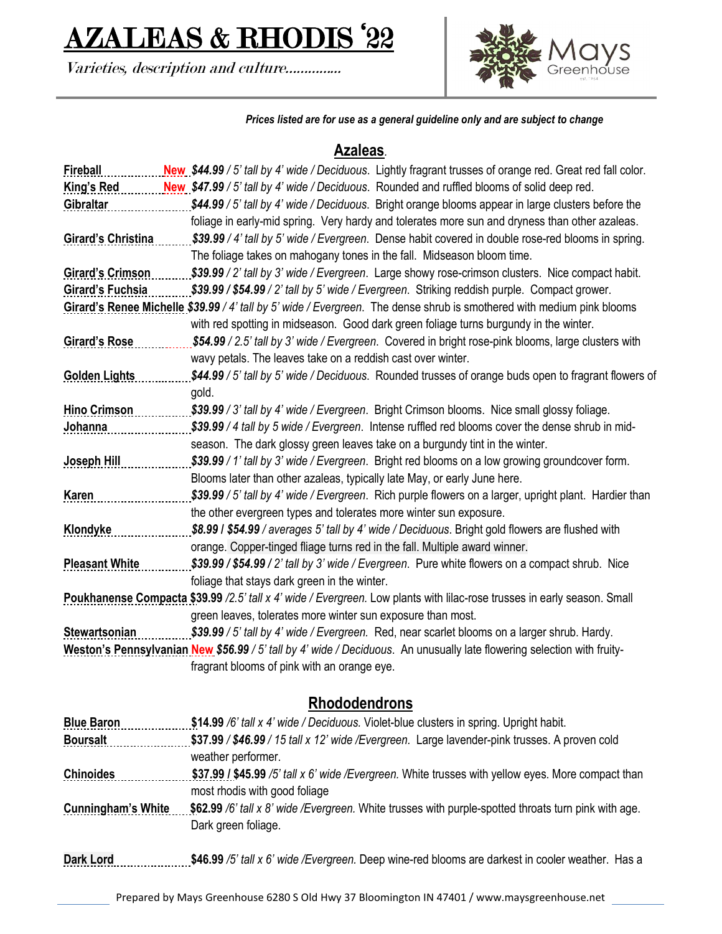# AZALEAS & RHODIS '22

Varieties, description and culture…………...



*Prices listed are for use as a general guideline only and are subject to change*

### **Azaleas***.*

| Fireball                                                                                                                 | New \$44.99 / 5' tall by 4' wide / Deciduous. Lightly fragrant trusses of orange red. Great red fall color.             |
|--------------------------------------------------------------------------------------------------------------------------|-------------------------------------------------------------------------------------------------------------------------|
| <b>King's Red</b>                                                                                                        | New \$47.99 / 5' tall by 4' wide / Deciduous. Rounded and ruffled blooms of solid deep red.                             |
| Gibraltar                                                                                                                | \$44.99 / 5' tall by 4' wide / Deciduous. Bright orange blooms appear in large clusters before the                      |
|                                                                                                                          | foliage in early-mid spring. Very hardy and tolerates more sun and dryness than other azaleas.                          |
| <b>Girard's Christina</b>                                                                                                | \$39.99 / 4' tall by 5' wide / Evergreen. Dense habit covered in double rose-red blooms in spring.                      |
|                                                                                                                          | The foliage takes on mahogany tones in the fall. Midseason bloom time.                                                  |
| <b>Girard's Crimson</b>                                                                                                  | \$39.99 / 2' tall by 3' wide / Evergreen. Large showy rose-crimson clusters. Nice compact habit.                        |
| <b>Girard's Fuchsia</b>                                                                                                  | \$39.99 / \$54.99 / 2' tall by 5' wide / Evergreen. Striking reddish purple. Compact grower.                            |
|                                                                                                                          | Girard's Renee Michelle \$39.99 / 4' tall by 5' wide / Evergreen. The dense shrub is smothered with medium pink blooms  |
|                                                                                                                          | with red spotting in midseason. Good dark green foliage turns burgundy in the winter.                                   |
| <b>Girard's Rose</b>                                                                                                     | \$54.99 / 2.5' tall by 3' wide / Evergreen. Covered in bright rose-pink blooms, large clusters with                     |
|                                                                                                                          | wavy petals. The leaves take on a reddish cast over winter.                                                             |
| <b>Golden Lights</b>                                                                                                     | \$44.99 / 5' tall by 5' wide / Deciduous. Rounded trusses of orange buds open to fragrant flowers of                    |
|                                                                                                                          | gold.                                                                                                                   |
| <b>Hino Crimson</b>                                                                                                      | \$39.99 / 3' tall by 4' wide / Evergreen. Bright Crimson blooms. Nice small glossy foliage.                             |
| Johanna                                                                                                                  | \$39.99 / 4 tall by 5 wide / Evergreen. Intense ruffled red blooms cover the dense shrub in mid-                        |
|                                                                                                                          | season. The dark glossy green leaves take on a burgundy tint in the winter.                                             |
| <b>Joseph Hill</b>                                                                                                       | \$39.99 / 1' tall by 3' wide / Evergreen. Bright red blooms on a low growing groundcover form.                          |
|                                                                                                                          | Blooms later than other azaleas, typically late May, or early June here.                                                |
| <b>Karen</b>                                                                                                             | \$39.99 / 5' tall by 4' wide / Evergreen. Rich purple flowers on a larger, upright plant. Hardier than                  |
|                                                                                                                          | the other evergreen types and tolerates more winter sun exposure.                                                       |
| <b>Klondyke</b>                                                                                                          | \$8.99 / \$54.99 / averages 5' tall by 4' wide / Deciduous. Bright gold flowers are flushed with                        |
|                                                                                                                          | orange. Copper-tinged fliage turns red in the fall. Multiple award winner.                                              |
| <b>Pleasant White</b>                                                                                                    | \$39.99 / \$54.99 / 2' tall by 3' wide / Evergreen. Pure white flowers on a compact shrub. Nice                         |
|                                                                                                                          | foliage that stays dark green in the winter.                                                                            |
| Poukhanense Compacta \$39.99 /2.5' tall x 4' wide / Evergreen. Low plants with lilac-rose trusses in early season. Small |                                                                                                                         |
|                                                                                                                          | green leaves, tolerates more winter sun exposure than most.                                                             |
| Stewartsonian                                                                                                            | \$39.99 / 5' tall by 4' wide / Evergreen. Red, near scarlet blooms on a larger shrub. Hardy.                            |
|                                                                                                                          | Weston's Pennsylvanian New \$56.99 / 5' tall by 4' wide / Deciduous. An unusually late flowering selection with fruity- |
|                                                                                                                          | fragrant blooms of pink with an orange eye.                                                                             |

### **Rhododendrons**

| <b>Blue Baron</b>         | \$14.99 /6' tall x 4' wide / Deciduous. Violet-blue clusters in spring. Upright habit.               |
|---------------------------|------------------------------------------------------------------------------------------------------|
| <b>Boursalt</b>           | \$37.99 / \$46.99 / 15 tall x 12' wide / Evergreen. Large lavender-pink trusses. A proven cold       |
|                           | weather performer.                                                                                   |
| <b>Chinoides</b>          | \$37.99 / \$45.99 /5' tall x 6' wide / Evergreen. White trusses with yellow eyes. More compact than  |
|                           | most rhodis with good foliage                                                                        |
| <b>Cunningham's White</b> | \$62.99 /6' tall x 8' wide /Evergreen. White trusses with purple-spotted throats turn pink with age. |
|                           | Dark green foliage.                                                                                  |
| <b>Dark Lord</b>          | \$46.99 /5' tall x 6' wide /Evergreen. Deep wine-red blooms are darkest in cooler weather. Has a     |